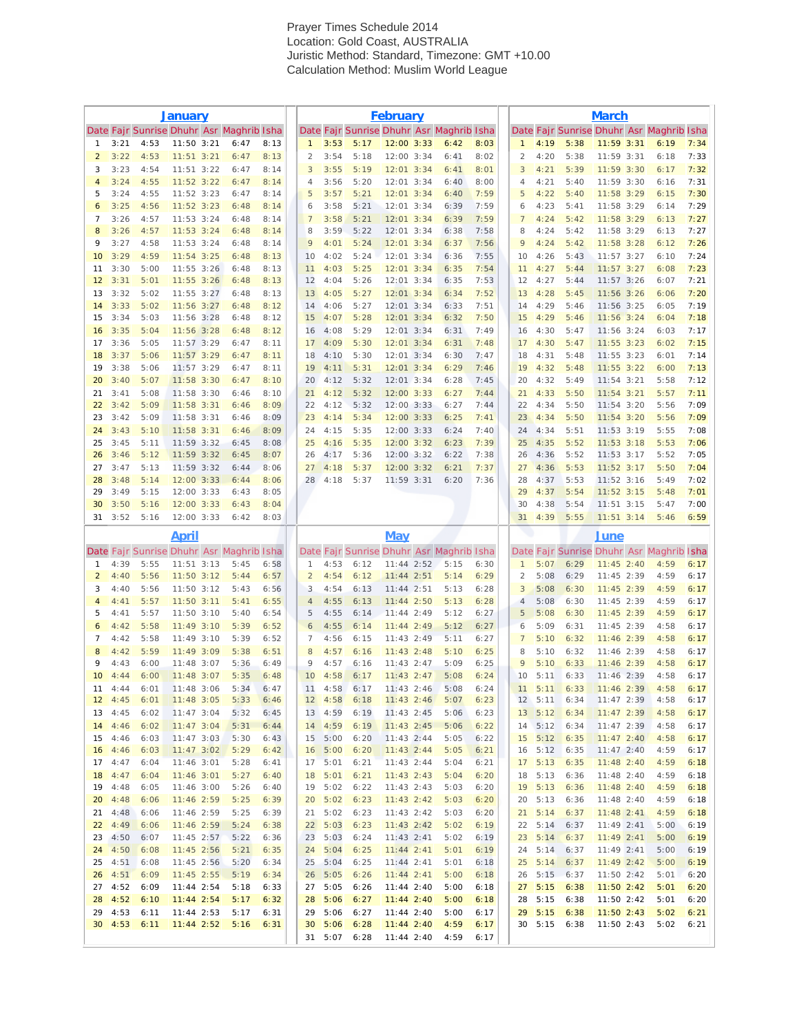## **Prayer Times Schedule 2014**<br>**Property** CMT +10.00 **Location:** Gold Coaster Conductors Prayer Times Schedule 2014 Location: Gold Coast, AUSTRALIA Juristic Method: Standard, Timezone: GMT +10.00 Calculation Method: Muslim World League

|                     | <b>January</b>                     |              |                                |  |                                          |              | <b>February</b>                |                            |               |                              |  |                                          |              | <b>March</b>                   |                              |              |                                |  |                                          |              |
|---------------------|------------------------------------|--------------|--------------------------------|--|------------------------------------------|--------------|--------------------------------|----------------------------|---------------|------------------------------|--|------------------------------------------|--------------|--------------------------------|------------------------------|--------------|--------------------------------|--|------------------------------------------|--------------|
|                     |                                    |              |                                |  | Date Fajr Sunrise Dhuhr Asr Maghrib Isha |              |                                |                            |               |                              |  | Date Fajr Sunrise Dhuhr Asr Maghrib Isha |              |                                |                              |              |                                |  | Date Fajr Sunrise Dhuhr Asr Maghrib Isha |              |
| 1<br>$\overline{2}$ | 3:21<br>3:22                       | 4:53<br>4:53 | 11:50 3:21<br>$11:51$ $3:21$   |  | 6:47<br>6:47                             | 8:13<br>8:13 | $\mathbf{1}$<br>$\overline{2}$ | 3:53<br>3:54               | 5:17<br>5:18  | 12:00 3:33<br>12:00 3:34     |  | 6:42<br>6:41                             | 8:03<br>8:02 | $\mathbf{1}$<br>$\overline{2}$ | 4:19<br>4:20                 | 5:38<br>5:38 | $11:59$ 3:31<br>11:59 3:31     |  | 6:19<br>6:18                             | 7:34<br>7:33 |
| 3                   | 3:23                               | 4:54         | $11:51$ $3:22$                 |  | 6:47                                     | 8:14         | 3                              | 3:55                       | 5:19          | $12:01$ 3:34                 |  | 6:41                                     | 8:01         | $\mathbf{3}$                   | 4:21                         | 5:39         | $11:59$ 3:30                   |  | 6:17                                     | 7:32         |
| $\overline{4}$      | 3:24                               | 4:55         | $11:52$ 3:22                   |  | 6:47                                     | 8:14         | $\overline{4}$                 | 3:56                       | 5:20          | 12:01 3:34                   |  | 6:40                                     | 8:00         | $\overline{4}$                 | 4:21                         | 5:40         | 11:59 3:30                     |  | 6:16                                     | 7:31         |
| 5                   | 3:24                               | 4:55         | 11:52 3:23                     |  | 6:47                                     | 8:14         | 5                              | 3:57                       | 5:21          | 12:01 3:34                   |  | 6:40                                     | 7:59         | 5                              | 4:22                         | 5:40         | 11:58 3:29                     |  | 6:15                                     | 7:30         |
| 6                   | 3:25                               | 4:56         | $11:52$ 3:23                   |  | 6:48                                     | 8:14         | 6<br>$\overline{7}$            | 3:58                       | 5:21          | 12:01 3:34                   |  | 6:39                                     | 7:59         | 6<br>7                         | 4:23                         | 5:41         | 11:58 3:29                     |  | 6:14                                     | 7:29         |
| $\overline{7}$<br>8 | 3:26<br>3:26                       | 4:57<br>4:57 | $11:53$ $3:24$<br>$11:53$ 3:24 |  | 6:48<br>6:48                             | 8:14<br>8:14 | 8                              | 3:58<br>3:59               | 5:21<br>5:22  | $12:01$ $3:34$<br>12:01 3:34 |  | 6:39<br>6:38                             | 7:59<br>7:58 | 8                              | 4:24<br>4:24                 | 5:42<br>5:42 | $11:58$ 3:29<br>11:58 3:29     |  | 6:13<br>6:13                             | 7:27<br>7:27 |
| 9                   | 3:27                               | 4:58         | $11:53$ $3:24$                 |  | 6:48                                     | 8:14         | 9                              | 4:01                       | 5:24          | $12:01$ 3:34                 |  | 6:37                                     | 7:56         | 9                              | 4:24                         | 5:42         | $11:58$ 3:28                   |  | 6:12                                     | 7:26         |
| 10                  | 3:29                               | 4:59         | $11:54$ 3:25                   |  | 6:48                                     | 8:13         | 10                             | 4:02                       | 5:24          | 12:01 3:34                   |  | 6:36                                     | 7:55         | 10                             | 4:26                         | 5:43         | $11:57$ $3:27$                 |  | 6:10                                     | 7:24         |
| 11                  | 3:30                               | 5:00         | $11:55$ $3:26$                 |  | 6:48                                     | 8:13         | 11                             | 4:03                       | 5:25          | 12:01 3:34                   |  | 6:35                                     | 7:54         | 11                             | 4:27                         | 5:44         | $11:57$ $3:27$                 |  | 6:08                                     | 7:23         |
| 12<br>13            | 3:31<br>3:32                       | 5:01<br>5:02 | $11:55$ 3:26<br>$11:55$ $3:27$ |  | 6:48<br>6:48                             | 8:13<br>8:13 | 12<br>13                       | 4:04<br>4:05               | 5:26<br>5:27  | 12:01 3:34<br>12:01 3:34     |  | 6:35<br>6:34                             | 7:53<br>7:52 | 12<br>13                       | 4:27<br>4:28                 | 5:44<br>5:45 | 11:57 3:26<br>11:56 3:26       |  | 6:07<br>6:06                             | 7:21<br>7:20 |
| 14                  | 3:33                               | 5:02         | 11:56 3:27                     |  | 6:48                                     | 8:12         | 14                             | 4:06                       | 5:27          | 12:01 3:34                   |  | 6:33                                     | 7:51         | 14                             | 4:29                         | 5:46         | 11:56 3:25                     |  | 6:05                                     | 7:19         |
| 15                  | 3:34                               | 5:03         | 11:56 3:28                     |  | 6:48                                     | 8:12         | 15                             | 4:07                       | 5:28          | 12:01 3:34                   |  | 6:32                                     | 7:50         | 15                             | 4:29                         | 5:46         | $11:56$ 3:24                   |  | 6:04                                     | 7:18         |
| 16                  | 3:35                               | 5:04         | 11:56 3:28                     |  | 6:48                                     | 8:12         | 16                             | 4:08                       | 5:29          | 12:01 3:34                   |  | 6:31                                     | 7:49         | 16                             | 4:30                         | 5:47         | 11:56 3:24                     |  | 6:03                                     | 7:17         |
| 17<br>18            | 3:36<br>3:37                       | 5:05<br>5:06 | 11:57 3:29<br>11:57 3:29       |  | 6:47<br>6:47                             | 8:11<br>8:11 | 17<br>18                       | 4:09<br>4:10               | 5:30<br>5:30  | 12:01 3:34<br>12:01 3:34     |  | 6:31<br>6:30                             | 7:48<br>7:47 | 17<br>18                       | 4:30<br>4:31                 | 5:47<br>5:48 | $11:55$ 3:23<br>11:55 3:23     |  | 6:02<br>6:01                             | 7:15<br>7:14 |
| 19                  | 3:38                               | 5:06         | 11:57 3:29                     |  | 6:47                                     | 8:11         | 19                             | 4:11                       | 5:31          | $12:01$ $3:34$               |  | 6:29                                     | 7:46         | 19                             | 4:32                         | 5:48         | $11:55$ 3:22                   |  | 6:00                                     | 7:13         |
| 20                  | 3:40                               | 5:07         | 11:58 3:30                     |  | 6:47                                     | 8:10         | 20                             | 4:12                       | 5:32          | 12:01 3:34                   |  | 6:28                                     | 7:45         | 20                             | 4:32                         | 5:49         | $11:54$ 3:21                   |  | 5:58                                     | 7:12         |
| 21                  | 3:41                               | 5:08         | $11:58$ $3:30$                 |  | 6:46                                     | 8:10         | 21                             | 4:12                       | 5:32          | $12:00$ $3:33$               |  | 6:27                                     | 7:44         | 21                             | 4:33                         | 5:50         | $11:54$ 3:21                   |  | 5:57                                     | 7:11         |
| 22                  | 3:42                               | 5:09         | $11:58$ 3:31                   |  | 6:46                                     | 8:09         | 22                             | 4:12                       | 5:32          | 12:00 3:33                   |  | 6:27                                     | 7:44         | 22                             | 4:34                         | 5:50         | $11:54$ $3:20$                 |  | 5:56                                     | 7:09         |
| 23<br>24            | 3:42<br>3:43                       | 5:09<br>5:10 | 11:58 3:31<br>$11:58$ 3:31     |  | 6:46<br>6:46                             | 8:09<br>8:09 | 23<br>24                       | 4:14<br>4:15               | 5:34<br>5:35  | 12:00 3:33<br>12:00 3:33     |  | 6:25<br>6:24                             | 7:41<br>7:40 | 23<br>24                       | 4:34<br>4:34                 | 5:50<br>5:51 | $11:54$ 3:20<br>$11:53$ $3:19$ |  | 5:56<br>5:55                             | 7:09<br>7:08 |
| 25                  | 3:45                               | 5:11         | $11:59$ $3:32$                 |  | 6:45                                     | 8:08         | 25                             | 4:16                       | 5:35          | 12:00 3:32                   |  | 6:23                                     | 7:39         | 25                             | 4:35                         | 5:52         | $11:53$ 3:18                   |  | 5:53                                     | 7:06         |
| 26                  | 3:46                               | 5:12         | 11:59 3:32                     |  | 6:45                                     | 8:07         | 26                             | 4:17                       | 5:36          | 12:00 3:32                   |  | 6:22                                     | 7:38         | 26                             | 4:36                         | 5:52         | $11:53$ $3:17$                 |  | 5:52                                     | 7:05         |
| 27                  | 3:47                               | 5:13         | 11:59 3:32                     |  | 6:44                                     | 8:06         | 27                             | 4:18                       | 5:37          | 12:00 3:32                   |  | 6:21                                     | 7:37         | 27                             | 4:36                         | 5:53         | $11:52$ 3:17                   |  | 5:50                                     | 7:04         |
| 28<br>29            | 3:48<br>3:49                       | 5:14<br>5:15 | $12:00$ $3:33$<br>12:00 3:33   |  | 6:44<br>6:43                             | 8:06<br>8:05 | 28                             | 4:18                       | 5:37          | 11:59 3:31                   |  | 6:20                                     | 7:36         | 28<br>29                       | 4:37<br>4:37                 | 5:53<br>5:54 | 11:52 3:16<br>$11:52$ 3:15     |  | 5:49<br>5:48                             | 7:02<br>7:01 |
| 30                  | 3:50                               | 5:16         | 12:00 3:33                     |  | 6:43                                     | 8:04         |                                |                            |               |                              |  |                                          |              | 30                             | 4:38                         | 5:54         | $11:51$ $3:15$                 |  | 5:47                                     | 7:00         |
| 31                  | 3:52                               | 5:16         | 12:00 3:33                     |  | 6:42                                     | 8:03         |                                |                            |               |                              |  |                                          |              | 31                             | 4:39                         | 5:55         | $11:51$ 3:14                   |  | 5:46                                     | 6:59         |
|                     |                                    |              | <b>April</b>                   |  |                                          |              |                                |                            |               | <b>May</b>                   |  |                                          |              |                                |                              |              | <b>June</b>                    |  |                                          |              |
|                     |                                    |              |                                |  | Date Fajr Sunrise Dhuhr Asr Maghrib Isha |              |                                |                            |               |                              |  | Date Fajr Sunrise Dhuhr Asr Maghrib Isha |              |                                |                              |              |                                |  | Date Fajr Sunrise Dhuhr Asr Maghrib Isha |              |
| $\mathbf{1}$        | 4:39                               | 5:55         | $11:51$ $3:13$                 |  | 5:45                                     | 6:58         | 1                              | 4:53                       | 6:12          | $11:44$ $2:52$               |  | 5:15                                     | 6:30         | $\overline{1}$                 | 5:07                         | 6:29         | $11:45$ 2:40                   |  | 4:59                                     | 6:17         |
| $\overline{2}$<br>3 | 4:40<br>4:40                       | 5:56<br>5:56 | $11:50$ 3:12<br>$11:50$ $3:12$ |  | 5:44<br>5:43                             | 6:57<br>6:56 | 2<br>3                         | 4:54<br>4:54               | 6:12<br>6:13  | $11:44$ 2:51<br>$11:44$ 2:51 |  | 5:14<br>5:13                             | 6:29<br>6:28 | $\overline{2}$<br>3            | 5:08<br>5:08                 | 6:29<br>6:30 | 11:45 2:39<br>$11:45$ 2:39     |  | 4:59<br>4:59                             | 6:17<br>6:17 |
| $\overline{4}$      | 4:41                               | 5:57         | $11:50$ 3:11                   |  | 5:41                                     | 6:55         | $\overline{4}$                 | 4:55                       | 6:13          | 11:44 2:50                   |  | 5:13                                     | 6:28         | $\overline{4}$                 | 5:08                         | 6:30         | 11:45 2:39                     |  | 4:59                                     | 6:17         |
| 5                   | 4:41                               | 5:57         | 11:50 3:10                     |  | 5:40                                     | 6:54         | 5                              | 4:55                       | 6:14          | 11:44 2:49                   |  | 5:12                                     | 6:27         | 5                              | 5:08                         | 6:30         | $11:45$ 2:39                   |  | 4:59                                     | 6:17         |
| 6                   | 4:42                               | 5:58         | $11:49$ 3:10                   |  | 5:39                                     | 6:52         | 6                              | 4:55                       | 6:14          | $11:44$ 2:49                 |  | 5:12                                     | 6:27         | 6                              | 5:09                         | 6:31         | 11:45 2:39                     |  | 4:58                                     | 6:17         |
| 7<br>8              | 4:42<br>4:42                       | 5:58<br>5:59 | $11:49$ 3:10<br>$11:49$ 3:09   |  | 5:39<br>5:38                             | 6:52<br>6:51 | $\overline{7}$<br>8            | 4:56<br>4:57               | 6:15<br>6:16  | 11:43 2:49<br>$11:43$ 2:48   |  | 5:11<br>5:10                             | 6:27<br>6:25 | $\overline{7}$<br>8            | 5:10<br>5:10                 | 6:32<br>6:32 | 11:46 2:39<br>11:46 2:39       |  | 4:58<br>4:58                             | 6:17<br>6:17 |
| 9                   | 4:43                               | 6:00         | 11:48 3:07                     |  | 5:36                                     | 6:49         | 9                              | 4:57                       | 6:16          | 11:43 2:47                   |  | 5:09                                     | 6:25         | 9                              | 5:10                         | 6:33         | 11:46 2:39                     |  | 4:58                                     | 6:17         |
| 10                  | 4:44                               | 6:00         | $11:48$ 3:07                   |  | 5:35                                     | 6:48         | 10                             | 4:58                       | 6:17          | $11:43$ 2:47                 |  | 5:08                                     | 6:24         | 10                             | 5:11                         | 6:33         | 11:46 2:39                     |  | 4:58                                     | 6:17         |
|                     | $11 \t4:44$                        | 6:01         | 11:48 3:06                     |  | 5:34                                     | 6:47         |                                | 11 4:58 6:17               |               | $11:43$ 2:46                 |  | 5:08                                     | 6:24         |                                | $11 \t 5:11 \t 6:33$         |              |                                |  | 11:46 2:39 4:58                          | 6:17         |
|                     | $12 \quad 4:45$<br>$13 \quad 4:45$ | 6:01<br>6:02 | $11:48$ 3:05<br>$11:47$ 3:04   |  | 5:33<br>5:32                             | 6:46<br>6:45 |                                | $12 \quad 4:58$<br>13 4:59 | 6:18<br>6:19  | $11:43$ 2:46<br>11:43 2:45   |  | 5:07<br>5:06                             | 6:23<br>6:23 |                                | 12 5:11 6:34<br>13 5:12 6:34 |              | 11:47 2:39<br>11:47 2:39       |  | 4:58<br>4:58                             | 6:17<br>6:17 |
|                     | $14 \quad 4:46$                    | 6:02         | $11:47$ 3:04                   |  | 5:31                                     | 6:44         | 14                             | 4:59                       | 6:19          | $11:43$ 2:45                 |  | 5:06                                     | 6:22         |                                | 14 5:12                      | 6:34         | 11:47 2:39                     |  | 4:58                                     | 6:17         |
|                     | 15 4:46                            | 6:03         | $11:47$ $3:03$                 |  | 5:30                                     | 6:43         |                                | 15 5:00                    | 6:20          | $11:43$ 2:44                 |  | 5:05                                     | 6:22         |                                | 15 5:12 6:35                 |              | $11:47$ 2:40                   |  | 4:58                                     | 6:17         |
|                     | $16 \quad 4:46$                    | 6:03         | $11:47$ 3:02                   |  | 5:29                                     | 6:42         | 16                             | 5:00                       | 6:20          | $11:43$ 2:44                 |  | 5:05                                     | 6:21         |                                | $16 \quad 5:12$              | 6:35         | $11:47$ 2:40                   |  | 4:59                                     | 6:17         |
|                     | $17 \quad 4:47$                    | 6:04         | $11:46$ $3:01$                 |  | 5:28                                     | 6:41         | 17 <sup>7</sup>                | 5:01                       | 6:21          | $11:43$ 2:44                 |  | 5:04                                     | 6:21         |                                | $17 \quad 5:13$              | 6:35         | $11:48$ 2:40                   |  | 4:59                                     | 6:18         |
| 18                  | 4:47<br>19 4:48                    | 6:04<br>6:05 | $11:46$ 3:01<br>11:46 3:00     |  | 5:27<br>5:26                             | 6:40<br>6:40 | 19                             | 18 5:01 6:21<br>5:02       | 6:22          | $11:43$ 2:43<br>$11:43$ 2:43 |  | 5:04<br>5:03                             | 6:20<br>6:20 |                                | 18 5:13<br>19 5:13           | 6:36<br>6:36 | 11:48 2:40<br>$11:48$ 2:40     |  | 4:59<br>4:59                             | 6:18<br>6:18 |
|                     | $20 \quad 4:48$                    | 6:06         | 11:46 2:59                     |  | 5:25                                     | 6:39         | 20                             | 5:02                       | 6:23          | $11:43$ 2:42                 |  | 5:03                                     | 6:20         | 20                             | 5:13                         | 6:36         | 11:48 2:40                     |  | 4:59                                     | 6:18         |
|                     | 21 4:48                            | 6:06         | 11:46 2:59                     |  | 5:25                                     | 6:39         | 21                             | 5:02                       | 6:23          | 11:43 2:42                   |  | 5:03                                     | 6:20         |                                | $21 \quad 5:14$              | 6:37         | $11:48$ 2:41                   |  | 4:59                                     | 6:18         |
|                     | $22 \quad 4:49$                    | 6:06         | 11:46 2:59                     |  | 5:24                                     | 6:38         | 22                             | 5:03                       | 6:23          | $11:43$ 2:42                 |  | 5:02                                     | 6:19         |                                | 22 5:14                      | 6:37         | $11:49$ 2:41                   |  | 5:00                                     | 6:19         |
| 23<br>24            | 4:50<br>4:50                       | 6:07<br>6:08 | $11:45$ 2:57<br>11:45 2:56     |  | 5:22<br>5:21                             | 6:36<br>6:35 | 23<br>24                       | 5:03<br>5:04               | 6:24<br>6:25  | $11:43$ 2:41<br>$11:44$ 2:41 |  | 5:02<br>5:01                             | 6:19<br>6:19 | 23<br>24                       | 5:14<br>5:14                 | 6:37<br>6:37 | $11:49$ 2:41<br>11:49 2:41     |  | 5:00<br>5:00                             | 6:19<br>6:19 |
| 25                  | 4:51                               | 6:08         | 11:45 2:56                     |  | 5:20                                     | 6:34         | 25                             | 5:04                       | 6:25          | $11:44$ 2:41                 |  | 5:01                                     | 6:18         | 25                             | 5:14                         | 6:37         | $11:49$ 2:42                   |  | 5:00                                     | 6:19         |
| 26                  | 4:51                               | 6:09         | $11:45$ 2:55                   |  | 5:19                                     | 6:34         |                                | $26$ 5:05                  | 6:26          | $11:44$ 2:41                 |  | 5:00                                     | 6:18         | 26                             | 5:15                         | 6:37         | 11:50 2:42                     |  | 5:01                                     | 6:20         |
|                     | 27 4:52                            | 6:09         | 11:44 2:54                     |  | 5:18                                     | 6:33         | 27                             | 5:05                       | 6:26          | $11:44$ 2:40                 |  | 5:00                                     | 6:18         |                                | $27 \quad 5:15$              | 6:38         | $11:50$ $2:42$                 |  | 5:01                                     | 6:20         |
| 28                  | 4:52                               | 6:10         | $11:44$ 2:54                   |  | 5:17                                     | 6:32         | 28                             | 5:06                       | 6:27          | $11:44$ 2:40                 |  | 5:00                                     | 6:18         | 28                             | 5:15                         | 6:38         | 11:50 2:42                     |  | 5:01                                     | 6:20         |
| 29<br>30            | 4:53<br>4:53                       | 6:11<br>6:11 | 11:44 2:53<br>$11:44$ 2:52     |  | 5:17<br>5:16                             | 6:31<br>6:31 | 29                             | 5:06<br>$30\quad 5:06$     | 6:27<br>6:28  | 11:44 2:40<br>$11:44$ 2:40   |  | 5:00<br>4:59                             | 6:17<br>6:17 | 29                             | 5:15<br>$30\quad 5:15$       | 6:38<br>6:38 | $11:50$ 2:43<br>11:50 2:43     |  | 5:02<br>5:02                             | 6:21<br>6:21 |
|                     |                                    |              |                                |  |                                          |              | 31                             |                            | $5:07$ $6:28$ | $11:44$ 2:40                 |  | 4:59                                     | 6:17         |                                |                              |              |                                |  |                                          |              |